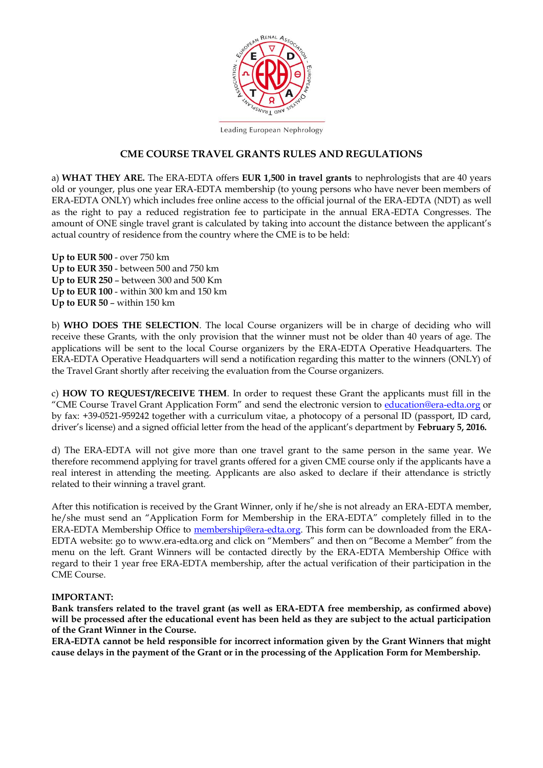

Leading European Nephrology

#### **CME COURSE TRAVEL GRANTS RULES AND REGULATIONS**

a) **WHAT THEY ARE.** The ERA-EDTA offers **EUR 1,500 in travel grants** to nephrologists that are 40 years old or younger, plus one year ERA-EDTA membership (to young persons who have never been members of ERA-EDTA ONLY) which includes free online access to the official journal of the ERA-EDTA (NDT) as well as the right to pay a reduced registration fee to participate in the annual ERA-EDTA Congresses. The amount of ONE single travel grant is calculated by taking into account the distance between the applicant's actual country of residence from the country where the CME is to be held:

**Up to EUR 500** - over 750 km **Up to EUR 350** - between 500 and 750 km **Up to EUR 250** – between 300 and 500 Km **Up to EUR 100** - within 300 km and 150 km **Up to EUR 50** – within 150 km

b) **WHO DOES THE SELECTION**. The local Course organizers will be in charge of deciding who will receive these Grants, with the only provision that the winner must not be older than 40 years of age. The applications will be sent to the local Course organizers by the ERA-EDTA Operative Headquarters. The ERA-EDTA Operative Headquarters will send a notification regarding this matter to the winners (ONLY) of the Travel Grant shortly after receiving the evaluation from the Course organizers.

c) **HOW TO REQUEST/RECEIVE THEM**. In order to request these Grant the applicants must fill in the "CME Course Travel Grant Application Form" and send the electronic version to [education@era-edta.org](mailto:education@era-edta.org) or by fax: +39-0521-959242 together with a curriculum vitae, a photocopy of a personal ID (passport, ID card, driver's license) and a signed official letter from the head of the applicant's department by **February 5, 2016.** 

d) The ERA-EDTA will not give more than one travel grant to the same person in the same year. We therefore recommend applying for travel grants offered for a given CME course only if the applicants have a real interest in attending the meeting. Applicants are also asked to declare if their attendance is strictly related to their winning a travel grant.

After this notification is received by the Grant Winner, only if he/she is not already an ERA-EDTA member, he/she must send an "Application Form for Membership in the ERA-EDTA" completely filled in to the ERA-EDTA Membership Office to [membership@era-edta.org.](mailto:membership@era-edta.org) This form can be downloaded from the ERA-EDTA website: go to www.era-edta.org and click on "Members" and then on "Become a Member" from the menu on the left. Grant Winners will be contacted directly by the ERA-EDTA Membership Office with regard to their 1 year free ERA-EDTA membership, after the actual verification of their participation in the CME Course.

#### **IMPORTANT:**

**Bank transfers related to the travel grant (as well as ERA-EDTA free membership, as confirmed above) will be processed after the educational event has been held as they are subject to the actual participation of the Grant Winner in the Course.** 

**ERA-EDTA cannot be held responsible for incorrect information given by the Grant Winners that might cause delays in the payment of the Grant or in the processing of the Application Form for Membership.**